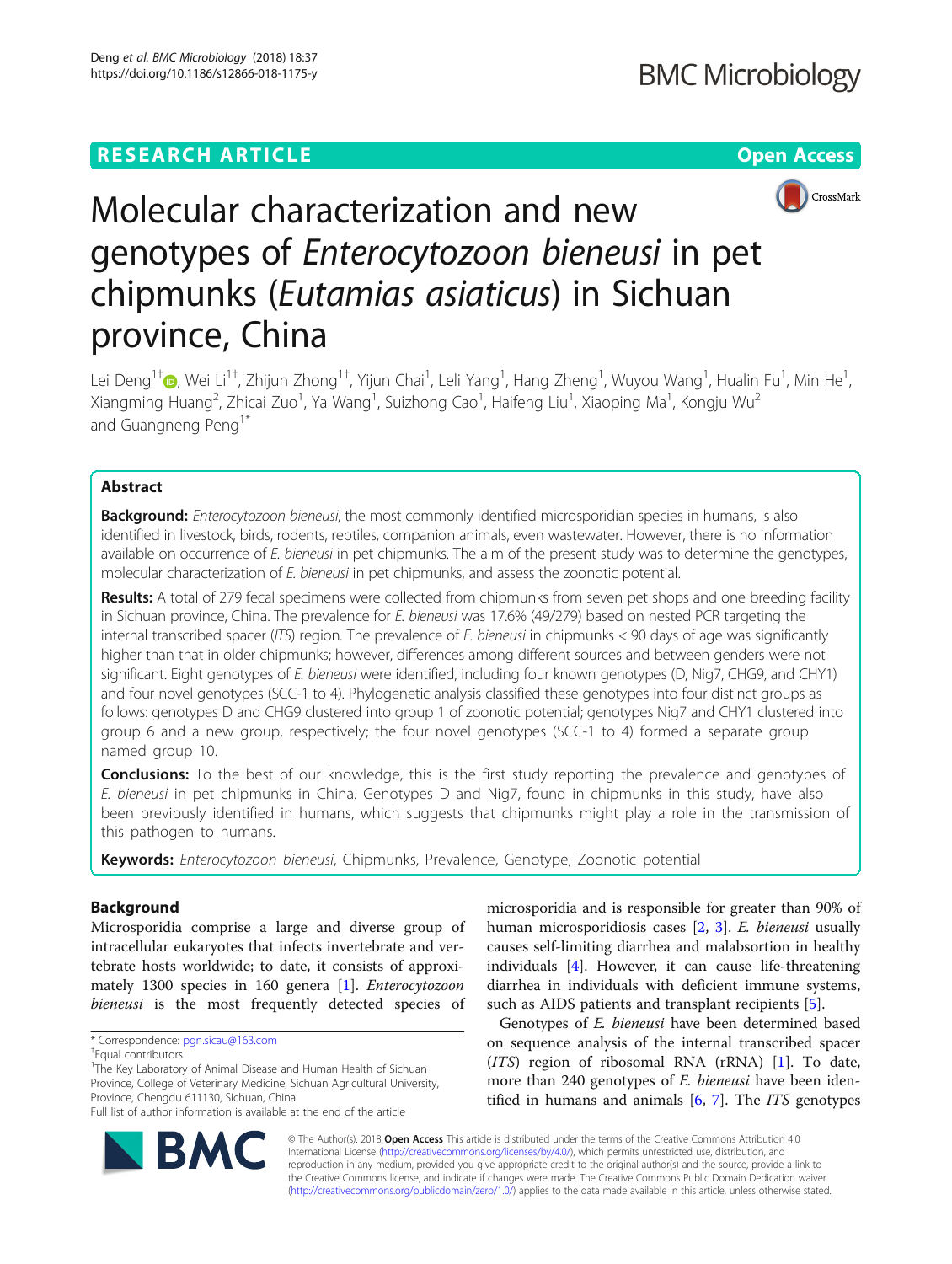## **RESEARCH ARTICLE Example 2018 12:30 THE Open Access**



# Molecular characterization and new genotypes of Enterocytozoon bieneusi in pet chipmunks (Eutamias asiaticus) in Sichuan province, China

Lei Deng<sup>1[†](http://orcid.org/0000-0003-0391-6180)</sup>®, Wei Li<sup>1†</sup>, Zhijun Zhong<sup>1†</sup>, Yijun Chai<sup>1</sup>, Leli Yang<sup>1</sup>, Hang Zheng<sup>1</sup>, Wuyou Wang<sup>1</sup>, Hualin Fu<sup>1</sup>, Min He<sup>1</sup> , Xiangming Huang<sup>2</sup>, Zhicai Zuo<sup>1</sup>, Ya Wang<sup>1</sup>, Suizhong Cao<sup>1</sup>, Haifeng Liu<sup>1</sup>, Xiaoping Ma<sup>1</sup>, Kongju Wu<sup>2</sup> and Guangneng Peng<sup>1\*</sup>

## Abstract

**Background:** Enterocytozoon bieneusi, the most commonly identified microsporidian species in humans, is also identified in livestock, birds, rodents, reptiles, companion animals, even wastewater. However, there is no information available on occurrence of E. bieneusi in pet chipmunks. The aim of the present study was to determine the genotypes, molecular characterization of E. bieneusi in pet chipmunks, and assess the zoonotic potential.

Results: A total of 279 fecal specimens were collected from chipmunks from seven pet shops and one breeding facility in Sichuan province, China. The prevalence for E. bieneusi was 17.6% (49/279) based on nested PCR targeting the internal transcribed spacer (ITS) region. The prevalence of E. bieneusi in chipmunks < 90 days of age was significantly higher than that in older chipmunks; however, differences among different sources and between genders were not significant. Eight genotypes of E. bieneusi were identified, including four known genotypes (D, Nig7, CHG9, and CHY1) and four novel genotypes (SCC-1 to 4). Phylogenetic analysis classified these genotypes into four distinct groups as follows: genotypes D and CHG9 clustered into group 1 of zoonotic potential; genotypes Nig7 and CHY1 clustered into group 6 and a new group, respectively; the four novel genotypes (SCC-1 to 4) formed a separate group named group 10.

**Conclusions:** To the best of our knowledge, this is the first study reporting the prevalence and genotypes of E. bieneusi in pet chipmunks in China. Genotypes D and Nig7, found in chipmunks in this study, have also been previously identified in humans, which suggests that chipmunks might play a role in the transmission of this pathogen to humans.

Keywords: Enterocytozoon bieneusi, Chipmunks, Prevalence, Genotype, Zoonotic potential

## Background

Microsporidia comprise a large and diverse group of intracellular eukaryotes that infects invertebrate and vertebrate hosts worldwide; to date, it consists of approximately 1300 species in 160 genera [\[1](#page-5-0)]. Enterocytozoon bieneusi is the most frequently detected species of

microsporidia and is responsible for greater than 90% of human microsporidiosis cases [[2](#page-5-0), [3](#page-5-0)]. E. bieneusi usually causes self-limiting diarrhea and malabsortion in healthy individuals [[4](#page-5-0)]. However, it can cause life-threatening diarrhea in individuals with deficient immune systems, such as AIDS patients and transplant recipients [\[5](#page-5-0)].

Genotypes of E. bieneusi have been determined based on sequence analysis of the internal transcribed spacer (ITS) region of ribosomal RNA (rRNA) [\[1](#page-5-0)]. To date, more than 240 genotypes of *E. bieneusi* have been identified in humans and animals  $[6, 7]$  $[6, 7]$  $[6, 7]$  $[6, 7]$  $[6, 7]$ . The *ITS* genotypes



© The Author(s). 2018 Open Access This article is distributed under the terms of the Creative Commons Attribution 4.0 International License [\(http://creativecommons.org/licenses/by/4.0/](http://creativecommons.org/licenses/by/4.0/)), which permits unrestricted use, distribution, and reproduction in any medium, provided you give appropriate credit to the original author(s) and the source, provide a link to the Creative Commons license, and indicate if changes were made. The Creative Commons Public Domain Dedication waiver [\(http://creativecommons.org/publicdomain/zero/1.0/](http://creativecommons.org/publicdomain/zero/1.0/)) applies to the data made available in this article, unless otherwise stated.

<sup>\*</sup> Correspondence: [pgn.sicau@163.com](mailto:pgn.sicau@163.com) †

Equal contributors

<sup>&</sup>lt;sup>1</sup>The Key Laboratory of Animal Disease and Human Health of Sichuan Province, College of Veterinary Medicine, Sichuan Agricultural University, Province, Chengdu 611130, Sichuan, China

Full list of author information is available at the end of the article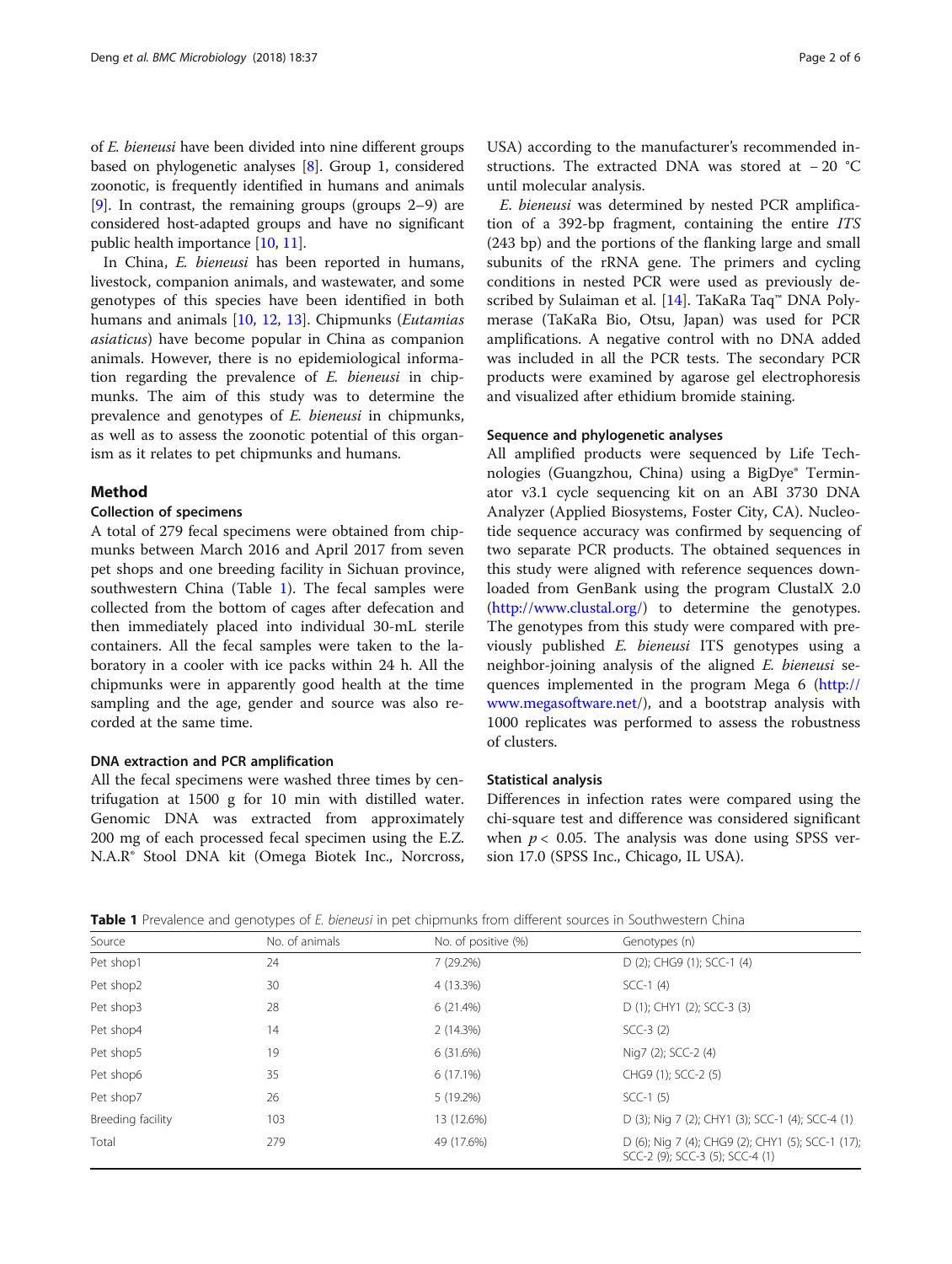<span id="page-1-0"></span>of E. bieneusi have been divided into nine different groups based on phylogenetic analyses [\[8\]](#page-5-0). Group 1, considered zoonotic, is frequently identified in humans and animals [[9\]](#page-5-0). In contrast, the remaining groups (groups 2–9) are considered host-adapted groups and have no significant public health importance [[10](#page-5-0), [11\]](#page-5-0).

In China, E. bieneusi has been reported in humans, livestock, companion animals, and wastewater, and some genotypes of this species have been identified in both humans and animals [[10](#page-5-0), [12,](#page-5-0) [13](#page-5-0)]. Chipmunks (Eutamias asiaticus) have become popular in China as companion animals. However, there is no epidemiological information regarding the prevalence of E. bieneusi in chipmunks. The aim of this study was to determine the prevalence and genotypes of E. bieneusi in chipmunks, as well as to assess the zoonotic potential of this organism as it relates to pet chipmunks and humans.

## Method

#### Collection of specimens

A total of 279 fecal specimens were obtained from chipmunks between March 2016 and April 2017 from seven pet shops and one breeding facility in Sichuan province, southwestern China (Table 1). The fecal samples were collected from the bottom of cages after defecation and then immediately placed into individual 30-mL sterile containers. All the fecal samples were taken to the laboratory in a cooler with ice packs within 24 h. All the chipmunks were in apparently good health at the time sampling and the age, gender and source was also recorded at the same time.

### DNA extraction and PCR amplification

All the fecal specimens were washed three times by centrifugation at 1500 g for 10 min with distilled water. Genomic DNA was extracted from approximately 200 mg of each processed fecal specimen using the E.Z. N.A.R® Stool DNA kit (Omega Biotek Inc., Norcross,

USA) according to the manufacturer's recommended instructions. The extracted DNA was stored at − 20 °C until molecular analysis.

E. bieneusi was determined by nested PCR amplification of a 392-bp fragment, containing the entire ITS (243 bp) and the portions of the flanking large and small subunits of the rRNA gene. The primers and cycling conditions in nested PCR were used as previously described by Sulaiman et al. [\[14\]](#page-5-0). TaKaRa Taq™ DNA Polymerase (TaKaRa Bio, Otsu, Japan) was used for PCR amplifications. A negative control with no DNA added was included in all the PCR tests. The secondary PCR products were examined by agarose gel electrophoresis and visualized after ethidium bromide staining.

## Sequence and phylogenetic analyses

All amplified products were sequenced by Life Technologies (Guangzhou, China) using a BigDye® Terminator v3.1 cycle sequencing kit on an ABI 3730 DNA Analyzer (Applied Biosystems, Foster City, CA). Nucleotide sequence accuracy was confirmed by sequencing of two separate PCR products. The obtained sequences in this study were aligned with reference sequences downloaded from GenBank using the program ClustalX 2.0 (<http://www.clustal.org/>) to determine the genotypes. The genotypes from this study were compared with previously published E. bieneusi ITS genotypes using a neighbor-joining analysis of the aligned E. bieneusi sequences implemented in the program Mega 6 [\(http://](http://www.megasoftware.net) [www.megasoftware.net/](http://www.megasoftware.net)), and a bootstrap analysis with 1000 replicates was performed to assess the robustness of clusters.

### Statistical analysis

Differences in infection rates were compared using the chi-square test and difference was considered significant when  $p < 0.05$ . The analysis was done using SPSS version 17.0 (SPSS Inc., Chicago, IL USA).

| <b>Table 1</b> Prevalence and genotypes of E, bieneusi in pet chipmunks from different sources in Southwestern China |  |  |  |  |
|----------------------------------------------------------------------------------------------------------------------|--|--|--|--|
|                                                                                                                      |  |  |  |  |

|                   | $\sim$         |                     |                                                                                      |
|-------------------|----------------|---------------------|--------------------------------------------------------------------------------------|
| Source            | No. of animals | No. of positive (%) | Genotypes (n)                                                                        |
| Pet shop1         | 24             | 7(29.2%)            | D (2); CHG9 (1); SCC-1 (4)                                                           |
| Pet shop2         | 30             | 4 (13.3%)           | $SCC-1$ (4)                                                                          |
| Pet shop3         | 28             | 6(21.4%)            | D (1); CHY1 (2); SCC-3 (3)                                                           |
| Pet shop4         | 14             | 2(14.3%)            | $SCC-3(2)$                                                                           |
| Pet shop5         | 19             | 6(31.6%)            | Nig7 (2); SCC-2 (4)                                                                  |
| Pet shop6         | 35             | $6(17.1\%)$         | CHG9 (1); SCC-2 (5)                                                                  |
| Pet shop7         | 26             | 5 (19.2%)           | $SCC-1(5)$                                                                           |
| Breeding facility | 103            | 13 (12.6%)          | D (3); Nig 7 (2); CHY1 (3); SCC-1 (4); SCC-4 (1)                                     |
| Total             | 279            | 49 (17.6%)          | D (6); Nig 7 (4); CHG9 (2); CHY1 (5); SCC-1 (17);<br>SCC-2 (9); SCC-3 (5); SCC-4 (1) |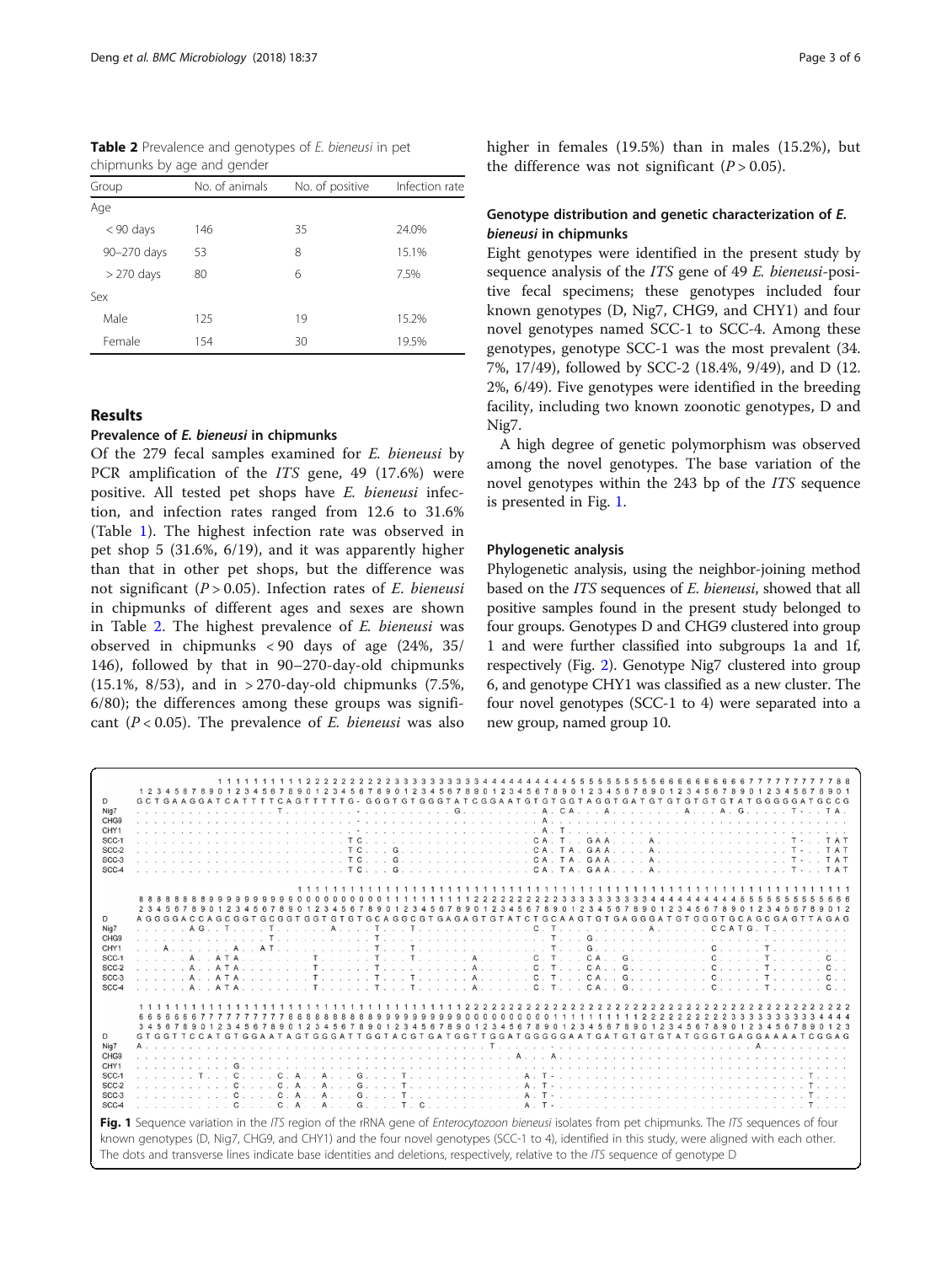Table 2 Prevalence and genotypes of E. bieneusi in pet chipmunks by age and gender

| Group        | No. of animals | No. of positive | Infection rate |
|--------------|----------------|-----------------|----------------|
| Age          |                |                 |                |
| $< 90$ days  | 146            | 35              | 24.0%          |
| 90-270 days  | 53             | 8               | 15.1%          |
| $> 270$ days | 80             | 6               | 7.5%           |
| Sex          |                |                 |                |
| Male         | 125            | 19              | 15.2%          |
| Female       | 154            | 30              | 19.5%          |

## Results

## Prevalence of E. bieneusi in chipmunks

Of the 279 fecal samples examined for E. bieneusi by PCR amplification of the ITS gene, 49 (17.6%) were positive. All tested pet shops have E. bieneusi infection, and infection rates ranged from 12.6 to 31.6% (Table [1](#page-1-0)). The highest infection rate was observed in pet shop 5 (31.6%, 6/19), and it was apparently higher than that in other pet shops, but the difference was not significant ( $P > 0.05$ ). Infection rates of E. bieneusi in chipmunks of different ages and sexes are shown in Table 2. The highest prevalence of E. bieneusi was observed in chipmunks < 90 days of age (24%, 35/ 146), followed by that in 90–270-day-old chipmunks (15.1%, 8/53), and in > 270-day-old chipmunks (7.5%, 6/80); the differences among these groups was significant ( $P < 0.05$ ). The prevalence of *E. bieneusi* was also higher in females (19.5%) than in males (15.2%), but the difference was not significant  $(P > 0.05)$ .

## Genotype distribution and genetic characterization of E. bieneusi in chipmunks

Eight genotypes were identified in the present study by sequence analysis of the ITS gene of 49 E. bieneusi-positive fecal specimens; these genotypes included four known genotypes (D, Nig7, CHG9, and CHY1) and four novel genotypes named SCC-1 to SCC-4. Among these genotypes, genotype SCC-1 was the most prevalent (34. 7%, 17/49), followed by SCC-2 (18.4%, 9/49), and D (12. 2%, 6/49). Five genotypes were identified in the breeding facility, including two known zoonotic genotypes, D and Nig7.

A high degree of genetic polymorphism was observed among the novel genotypes. The base variation of the novel genotypes within the 243 bp of the ITS sequence is presented in Fig. 1.

### Phylogenetic analysis

Phylogenetic analysis, using the neighbor-joining method based on the ITS sequences of E. bieneusi, showed that all positive samples found in the present study belonged to four groups. Genotypes D and CHG9 clustered into group 1 and were further classified into subgroups 1a and 1f, respectively (Fig. [2\)](#page-3-0). Genotype Nig7 clustered into group 6, and genotype CHY1 was classified as a new cluster. The four novel genotypes (SCC-1 to 4) were separated into a new group, named group 10.

|                                                                                                                                                       |  |  |  |  |  |  |  |  |  |  |  |                     |  |  |  |  |  |  |  |  |  |  |  |  |  |  |  |  |                                                                                                                                             |  |  |  | 11111111112222222233333333344444444455555555566666666677777777788                                                                                                                                                                                                                                                                                                           |  |
|-------------------------------------------------------------------------------------------------------------------------------------------------------|--|--|--|--|--|--|--|--|--|--|--|---------------------|--|--|--|--|--|--|--|--|--|--|--|--|--|--|--|--|---------------------------------------------------------------------------------------------------------------------------------------------|--|--|--|-----------------------------------------------------------------------------------------------------------------------------------------------------------------------------------------------------------------------------------------------------------------------------------------------------------------------------------------------------------------------------|--|
|                                                                                                                                                       |  |  |  |  |  |  |  |  |  |  |  |                     |  |  |  |  |  |  |  |  |  |  |  |  |  |  |  |  | 1 2 3 4 5 6 7 8 9 0 1 2 3 4 5 6 7 8 9 0 1 2 3 4 5 6 7 8 9 0 1 2 3 4 5 6 7 8 9 0 1 2 3 4 5 6 7 8 9 0 1 2 3 4 5 6 7 8 9 0 1 2 3 4 5 6 7 8 9 0 |  |  |  |                                                                                                                                                                                                                                                                                                                                                                             |  |
| D                                                                                                                                                     |  |  |  |  |  |  |  |  |  |  |  |                     |  |  |  |  |  |  |  |  |  |  |  |  |  |  |  |  |                                                                                                                                             |  |  |  |                                                                                                                                                                                                                                                                                                                                                                             |  |
| Nig7                                                                                                                                                  |  |  |  |  |  |  |  |  |  |  |  |                     |  |  |  |  |  |  |  |  |  |  |  |  |  |  |  |  |                                                                                                                                             |  |  |  |                                                                                                                                                                                                                                                                                                                                                                             |  |
| CHG <sub>9</sub>                                                                                                                                      |  |  |  |  |  |  |  |  |  |  |  |                     |  |  |  |  |  |  |  |  |  |  |  |  |  |  |  |  |                                                                                                                                             |  |  |  |                                                                                                                                                                                                                                                                                                                                                                             |  |
| CHY1                                                                                                                                                  |  |  |  |  |  |  |  |  |  |  |  |                     |  |  |  |  |  |  |  |  |  |  |  |  |  |  |  |  |                                                                                                                                             |  |  |  |                                                                                                                                                                                                                                                                                                                                                                             |  |
| SCC-1                                                                                                                                                 |  |  |  |  |  |  |  |  |  |  |  |                     |  |  |  |  |  |  |  |  |  |  |  |  |  |  |  |  |                                                                                                                                             |  |  |  |                                                                                                                                                                                                                                                                                                                                                                             |  |
| SCC-2                                                                                                                                                 |  |  |  |  |  |  |  |  |  |  |  |                     |  |  |  |  |  |  |  |  |  |  |  |  |  |  |  |  |                                                                                                                                             |  |  |  |                                                                                                                                                                                                                                                                                                                                                                             |  |
| SCC-3<br>SCC-4                                                                                                                                        |  |  |  |  |  |  |  |  |  |  |  |                     |  |  |  |  |  |  |  |  |  |  |  |  |  |  |  |  |                                                                                                                                             |  |  |  |                                                                                                                                                                                                                                                                                                                                                                             |  |
|                                                                                                                                                       |  |  |  |  |  |  |  |  |  |  |  |                     |  |  |  |  |  |  |  |  |  |  |  |  |  |  |  |  |                                                                                                                                             |  |  |  |                                                                                                                                                                                                                                                                                                                                                                             |  |
|                                                                                                                                                       |  |  |  |  |  |  |  |  |  |  |  |                     |  |  |  |  |  |  |  |  |  |  |  |  |  |  |  |  |                                                                                                                                             |  |  |  |                                                                                                                                                                                                                                                                                                                                                                             |  |
|                                                                                                                                                       |  |  |  |  |  |  |  |  |  |  |  |                     |  |  |  |  |  |  |  |  |  |  |  |  |  |  |  |  |                                                                                                                                             |  |  |  |                                                                                                                                                                                                                                                                                                                                                                             |  |
|                                                                                                                                                       |  |  |  |  |  |  |  |  |  |  |  | 2345678901234567890 |  |  |  |  |  |  |  |  |  |  |  |  |  |  |  |  | 1234567890123456789012345678901234567890123456789                                                                                           |  |  |  |                                                                                                                                                                                                                                                                                                                                                                             |  |
| D                                                                                                                                                     |  |  |  |  |  |  |  |  |  |  |  |                     |  |  |  |  |  |  |  |  |  |  |  |  |  |  |  |  |                                                                                                                                             |  |  |  | A G G G G A C C A G C G G T G C G T G T G T G C A G C G T G A G A G T G T A T C T G A G G G A T G T G G G T G C A G C G A G T T A G A G                                                                                                                                                                                                                                     |  |
| Nig7                                                                                                                                                  |  |  |  |  |  |  |  |  |  |  |  |                     |  |  |  |  |  |  |  |  |  |  |  |  |  |  |  |  |                                                                                                                                             |  |  |  |                                                                                                                                                                                                                                                                                                                                                                             |  |
| CHG <sub>9</sub>                                                                                                                                      |  |  |  |  |  |  |  |  |  |  |  |                     |  |  |  |  |  |  |  |  |  |  |  |  |  |  |  |  |                                                                                                                                             |  |  |  |                                                                                                                                                                                                                                                                                                                                                                             |  |
| CHY1                                                                                                                                                  |  |  |  |  |  |  |  |  |  |  |  |                     |  |  |  |  |  |  |  |  |  |  |  |  |  |  |  |  |                                                                                                                                             |  |  |  | $\mathbf{I} = \mathbf{A}$ . $\mathbf{A} = \mathbf{A}$ . $\mathbf{A} = \mathbf{I}$ . $\mathbf{A} = \mathbf{I}$ . $\mathbf{I} = \mathbf{I}$ . $\mathbf{I} = \mathbf{I}$ . $\mathbf{I} = \mathbf{I}$ . $\mathbf{I} = \mathbf{I}$ . $\mathbf{I} = \mathbf{I}$ . $\mathbf{I} = \mathbf{I}$ . $\mathbf{I} = \mathbf{I}$ . $\mathbf{I} = \mathbf{I}$ . $\mathbf{I} = \mathbf{I}$ . |  |
| SCC-1                                                                                                                                                 |  |  |  |  |  |  |  |  |  |  |  |                     |  |  |  |  |  |  |  |  |  |  |  |  |  |  |  |  |                                                                                                                                             |  |  |  |                                                                                                                                                                                                                                                                                                                                                                             |  |
| SCC-2                                                                                                                                                 |  |  |  |  |  |  |  |  |  |  |  |                     |  |  |  |  |  |  |  |  |  |  |  |  |  |  |  |  |                                                                                                                                             |  |  |  |                                                                                                                                                                                                                                                                                                                                                                             |  |
| SCC-3                                                                                                                                                 |  |  |  |  |  |  |  |  |  |  |  |                     |  |  |  |  |  |  |  |  |  |  |  |  |  |  |  |  |                                                                                                                                             |  |  |  |                                                                                                                                                                                                                                                                                                                                                                             |  |
| SCC-4                                                                                                                                                 |  |  |  |  |  |  |  |  |  |  |  |                     |  |  |  |  |  |  |  |  |  |  |  |  |  |  |  |  |                                                                                                                                             |  |  |  |                                                                                                                                                                                                                                                                                                                                                                             |  |
|                                                                                                                                                       |  |  |  |  |  |  |  |  |  |  |  |                     |  |  |  |  |  |  |  |  |  |  |  |  |  |  |  |  |                                                                                                                                             |  |  |  |                                                                                                                                                                                                                                                                                                                                                                             |  |
|                                                                                                                                                       |  |  |  |  |  |  |  |  |  |  |  |                     |  |  |  |  |  |  |  |  |  |  |  |  |  |  |  |  |                                                                                                                                             |  |  |  |                                                                                                                                                                                                                                                                                                                                                                             |  |
|                                                                                                                                                       |  |  |  |  |  |  |  |  |  |  |  |                     |  |  |  |  |  |  |  |  |  |  |  |  |  |  |  |  |                                                                                                                                             |  |  |  | 345678901234567890123456789012345678901234567890123456789012345678901234567890123                                                                                                                                                                                                                                                                                           |  |
|                                                                                                                                                       |  |  |  |  |  |  |  |  |  |  |  |                     |  |  |  |  |  |  |  |  |  |  |  |  |  |  |  |  |                                                                                                                                             |  |  |  |                                                                                                                                                                                                                                                                                                                                                                             |  |
| D<br>Nig7                                                                                                                                             |  |  |  |  |  |  |  |  |  |  |  |                     |  |  |  |  |  |  |  |  |  |  |  |  |  |  |  |  |                                                                                                                                             |  |  |  |                                                                                                                                                                                                                                                                                                                                                                             |  |
| CHG <sub>9</sub>                                                                                                                                      |  |  |  |  |  |  |  |  |  |  |  |                     |  |  |  |  |  |  |  |  |  |  |  |  |  |  |  |  |                                                                                                                                             |  |  |  |                                                                                                                                                                                                                                                                                                                                                                             |  |
| CHY1                                                                                                                                                  |  |  |  |  |  |  |  |  |  |  |  |                     |  |  |  |  |  |  |  |  |  |  |  |  |  |  |  |  |                                                                                                                                             |  |  |  |                                                                                                                                                                                                                                                                                                                                                                             |  |
| SCC-1                                                                                                                                                 |  |  |  |  |  |  |  |  |  |  |  |                     |  |  |  |  |  |  |  |  |  |  |  |  |  |  |  |  |                                                                                                                                             |  |  |  |                                                                                                                                                                                                                                                                                                                                                                             |  |
| SCC-2                                                                                                                                                 |  |  |  |  |  |  |  |  |  |  |  |                     |  |  |  |  |  |  |  |  |  |  |  |  |  |  |  |  |                                                                                                                                             |  |  |  |                                                                                                                                                                                                                                                                                                                                                                             |  |
| SCC-3                                                                                                                                                 |  |  |  |  |  |  |  |  |  |  |  |                     |  |  |  |  |  |  |  |  |  |  |  |  |  |  |  |  |                                                                                                                                             |  |  |  |                                                                                                                                                                                                                                                                                                                                                                             |  |
| SCC-4                                                                                                                                                 |  |  |  |  |  |  |  |  |  |  |  |                     |  |  |  |  |  |  |  |  |  |  |  |  |  |  |  |  |                                                                                                                                             |  |  |  |                                                                                                                                                                                                                                                                                                                                                                             |  |
|                                                                                                                                                       |  |  |  |  |  |  |  |  |  |  |  |                     |  |  |  |  |  |  |  |  |  |  |  |  |  |  |  |  |                                                                                                                                             |  |  |  |                                                                                                                                                                                                                                                                                                                                                                             |  |
|                                                                                                                                                       |  |  |  |  |  |  |  |  |  |  |  |                     |  |  |  |  |  |  |  |  |  |  |  |  |  |  |  |  |                                                                                                                                             |  |  |  |                                                                                                                                                                                                                                                                                                                                                                             |  |
| Fig. 1 Sequence variation in the ITS region of the rRNA gene of <i>Enterocytozoon bieneusi</i> isolates from pet chipmunks. The ITS sequences of four |  |  |  |  |  |  |  |  |  |  |  |                     |  |  |  |  |  |  |  |  |  |  |  |  |  |  |  |  |                                                                                                                                             |  |  |  |                                                                                                                                                                                                                                                                                                                                                                             |  |
| known genotypes (D, Nig7, CHG9, and CHY1) and the four novel genotypes (SCC-1 to 4), identified in this study, were aligned with each other.          |  |  |  |  |  |  |  |  |  |  |  |                     |  |  |  |  |  |  |  |  |  |  |  |  |  |  |  |  |                                                                                                                                             |  |  |  |                                                                                                                                                                                                                                                                                                                                                                             |  |
| The dots and transverse lines indicate base identities and deletions, respectively, relative to the ITS sequence of genotype D                        |  |  |  |  |  |  |  |  |  |  |  |                     |  |  |  |  |  |  |  |  |  |  |  |  |  |  |  |  |                                                                                                                                             |  |  |  |                                                                                                                                                                                                                                                                                                                                                                             |  |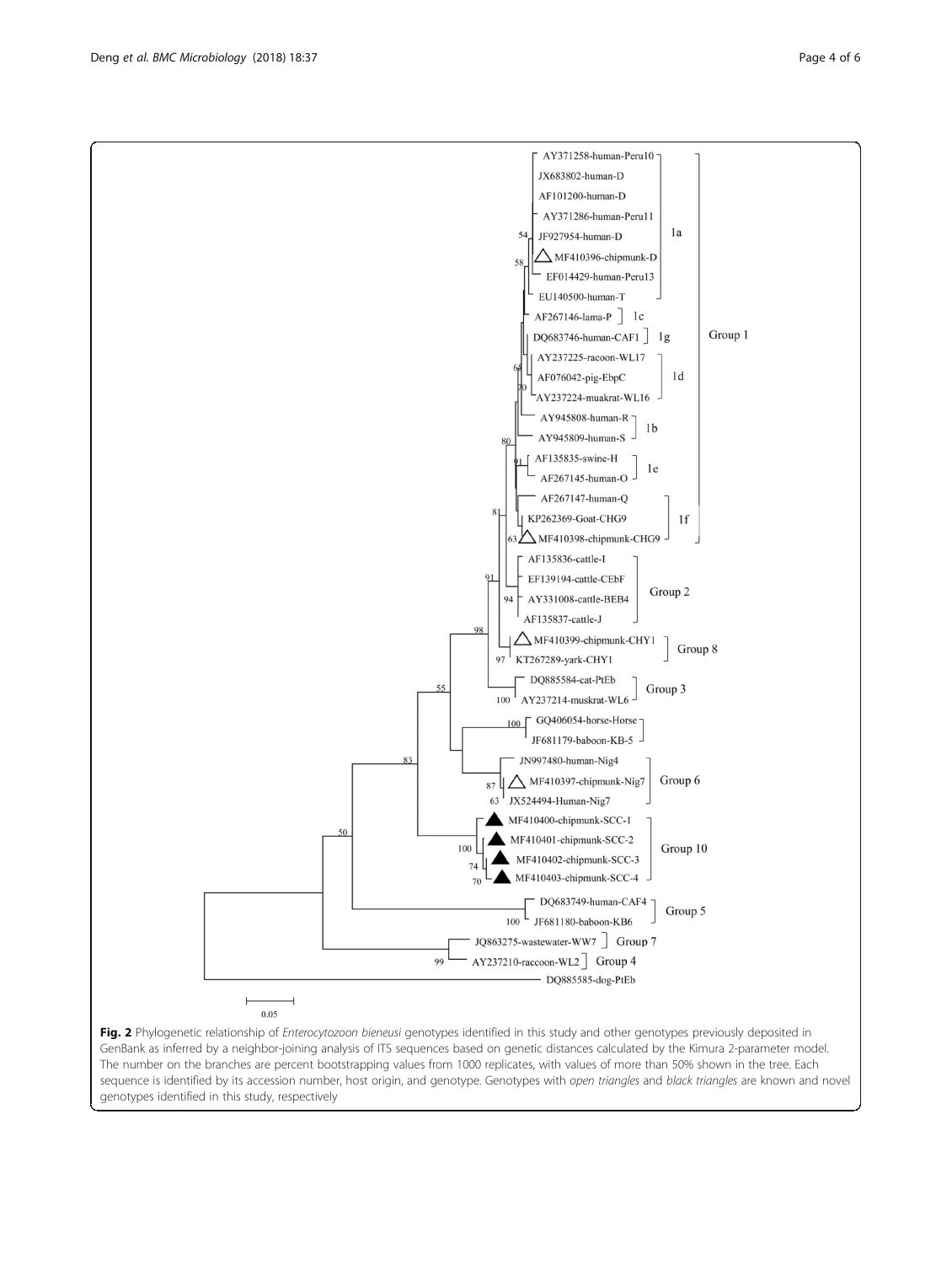Fig. 2 Phylogenetic relationship of Enterocytozoon bieneusi genotypes identified in this study and other genotypes previously deposited in GenBank as inferred by a neighbor-joining analysis of ITS sequences based on genetic distances calculated by the Kimura 2-parameter model. The number on the branches are percent bootstrapping values from 1000 replicates, with values of more than 50% shown in the tree. Each sequence is identified by its accession number, host origin, and genotype. Genotypes with open triangles and black triangles are known and novel genotypes identified in this study, respectively

87

100

99

 $74$ 

70

100

50

 $0.05$ 

JF681179-baboon-KB-5 JN997480-human-Nig4

 $\Delta$  MF410397-chipmunk-Nig7

MF410401-chipmunk-SCC-2

MF410402-chipmunk-SCC-3

MF410403-chipmunk-SCC-4

JF681180-baboon-KB6 JQ863275-wastewater-WW7 Group 7 AY237210-raccoon-WL2 Group 4

- DQ885585-dog-PtEb

DQ683749-human-CAF4 -

JX524494-Human-Nig7 MF410400-chipmunk-SCC-1 Group 6

Group  $10\,$ 

Group 5

<span id="page-3-0"></span>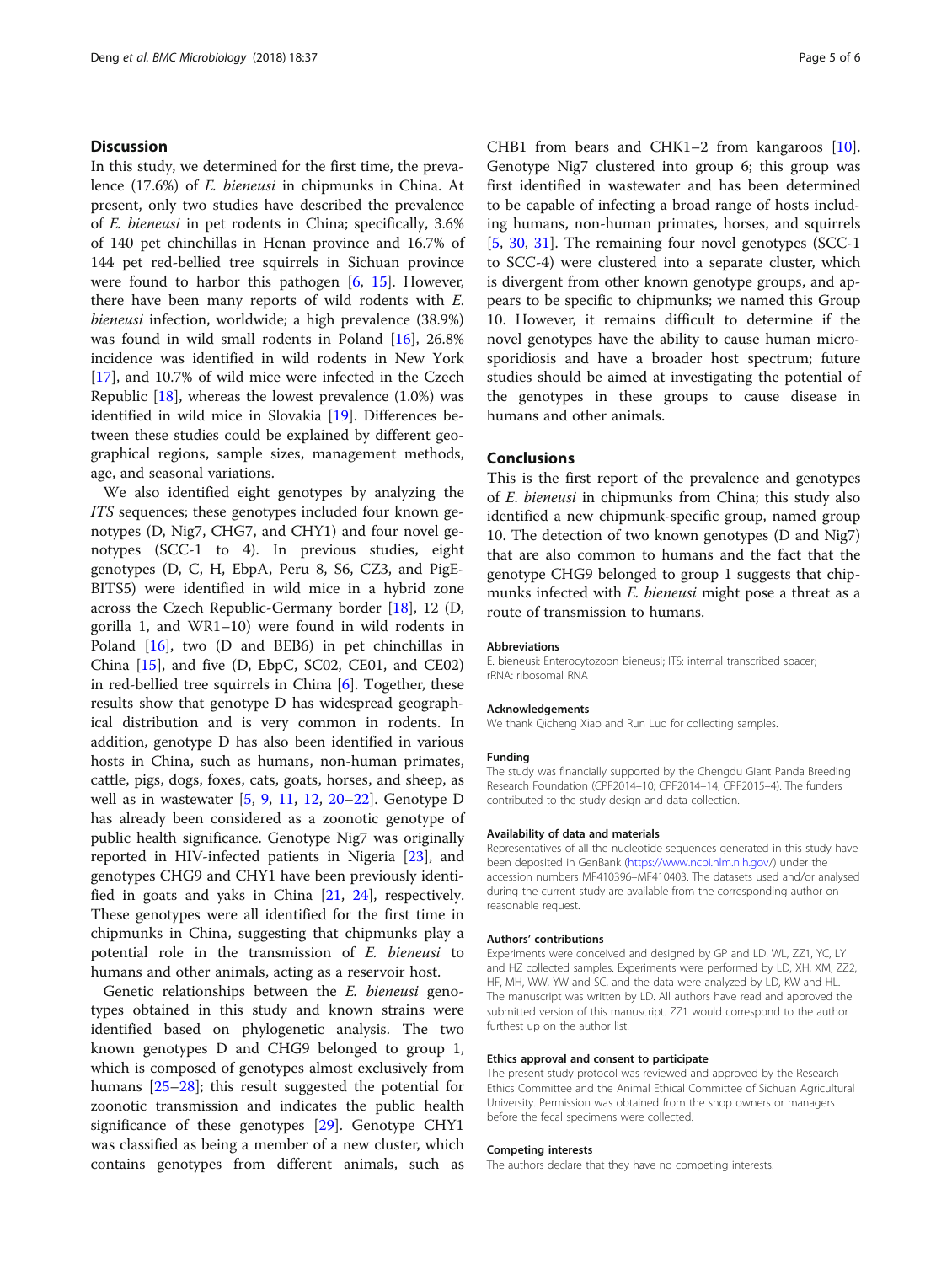## **Discussion**

In this study, we determined for the first time, the prevalence (17.6%) of E. bieneusi in chipmunks in China. At present, only two studies have described the prevalence of E. bieneusi in pet rodents in China; specifically, 3.6% of 140 pet chinchillas in Henan province and 16.7% of 144 pet red-bellied tree squirrels in Sichuan province were found to harbor this pathogen  $[6, 15]$  $[6, 15]$  $[6, 15]$  $[6, 15]$  $[6, 15]$ . However, there have been many reports of wild rodents with E. bieneusi infection, worldwide; a high prevalence (38.9%) was found in wild small rodents in Poland [\[16](#page-5-0)], 26.8% incidence was identified in wild rodents in New York [[17\]](#page-5-0), and 10.7% of wild mice were infected in the Czech Republic  $[18]$  $[18]$ , whereas the lowest prevalence  $(1.0\%)$  was identified in wild mice in Slovakia [\[19](#page-5-0)]. Differences between these studies could be explained by different geographical regions, sample sizes, management methods, age, and seasonal variations.

We also identified eight genotypes by analyzing the ITS sequences; these genotypes included four known genotypes (D, Nig7, CHG7, and CHY1) and four novel genotypes (SCC-1 to 4). In previous studies, eight genotypes (D, C, H, EbpA, Peru 8, S6, CZ3, and PigE-BITS5) were identified in wild mice in a hybrid zone across the Czech Republic-Germany border [[18\]](#page-5-0), 12 (D, gorilla 1, and WR1–10) were found in wild rodents in Poland [[16](#page-5-0)], two (D and BEB6) in pet chinchillas in China [\[15](#page-5-0)], and five (D, EbpC, SC02, CE01, and CE02) in red-bellied tree squirrels in China [[6\]](#page-5-0). Together, these results show that genotype D has widespread geographical distribution and is very common in rodents. In addition, genotype D has also been identified in various hosts in China, such as humans, non-human primates, cattle, pigs, dogs, foxes, cats, goats, horses, and sheep, as well as in wastewater [[5,](#page-5-0) [9](#page-5-0), [11](#page-5-0), [12,](#page-5-0) [20](#page-5-0)–[22](#page-5-0)]. Genotype D has already been considered as a zoonotic genotype of public health significance. Genotype Nig7 was originally reported in HIV-infected patients in Nigeria [\[23](#page-5-0)], and genotypes CHG9 and CHY1 have been previously identified in goats and yaks in China [[21,](#page-5-0) [24\]](#page-5-0), respectively. These genotypes were all identified for the first time in chipmunks in China, suggesting that chipmunks play a potential role in the transmission of E. bieneusi to humans and other animals, acting as a reservoir host.

Genetic relationships between the E. bieneusi genotypes obtained in this study and known strains were identified based on phylogenetic analysis. The two known genotypes D and CHG9 belonged to group 1, which is composed of genotypes almost exclusively from humans [\[25](#page-5-0)–[28](#page-5-0)]; this result suggested the potential for zoonotic transmission and indicates the public health significance of these genotypes [[29](#page-5-0)]. Genotype CHY1 was classified as being a member of a new cluster, which contains genotypes from different animals, such as CHB1 from bears and CHK1–2 from kangaroos [\[10](#page-5-0)]. Genotype Nig7 clustered into group 6; this group was first identified in wastewater and has been determined to be capable of infecting a broad range of hosts including humans, non-human primates, horses, and squirrels [[5,](#page-5-0) [30](#page-5-0), [31](#page-5-0)]. The remaining four novel genotypes (SCC-1) to SCC-4) were clustered into a separate cluster, which is divergent from other known genotype groups, and appears to be specific to chipmunks; we named this Group 10. However, it remains difficult to determine if the novel genotypes have the ability to cause human microsporidiosis and have a broader host spectrum; future studies should be aimed at investigating the potential of the genotypes in these groups to cause disease in humans and other animals.

## Conclusions

This is the first report of the prevalence and genotypes of E. bieneusi in chipmunks from China; this study also identified a new chipmunk-specific group, named group 10. The detection of two known genotypes (D and Nig7) that are also common to humans and the fact that the genotype CHG9 belonged to group 1 suggests that chipmunks infected with *E. bieneusi* might pose a threat as a route of transmission to humans.

#### Abbreviations

E. bieneusi: Enterocytozoon bieneusi; ITS: internal transcribed spacer; rRNA: ribosomal RNA

#### Acknowledgements

We thank Qicheng Xiao and Run Luo for collecting samples.

#### Funding

The study was financially supported by the Chengdu Giant Panda Breeding Research Foundation (CPF2014–10; CPF2014–14; CPF2015–4). The funders contributed to the study design and data collection.

#### Availability of data and materials

Representatives of all the nucleotide sequences generated in this study have been deposited in GenBank (<https://www.ncbi.nlm.nih.gov>/) under the accession numbers MF410396–MF410403. The datasets used and/or analysed during the current study are available from the corresponding author on reasonable request.

#### Authors' contributions

Experiments were conceived and designed by GP and LD. WL, ZZ1, YC, LY and HZ collected samples. Experiments were performed by LD, XH, XM, ZZ2, HF, MH, WW, YW and SC, and the data were analyzed by LD, KW and HL. The manuscript was written by LD. All authors have read and approved the submitted version of this manuscript. ZZ1 would correspond to the author furthest up on the author list.

#### Ethics approval and consent to participate

The present study protocol was reviewed and approved by the Research Ethics Committee and the Animal Ethical Committee of Sichuan Agricultural University. Permission was obtained from the shop owners or managers before the fecal specimens were collected.

#### Competing interests

The authors declare that they have no competing interests.